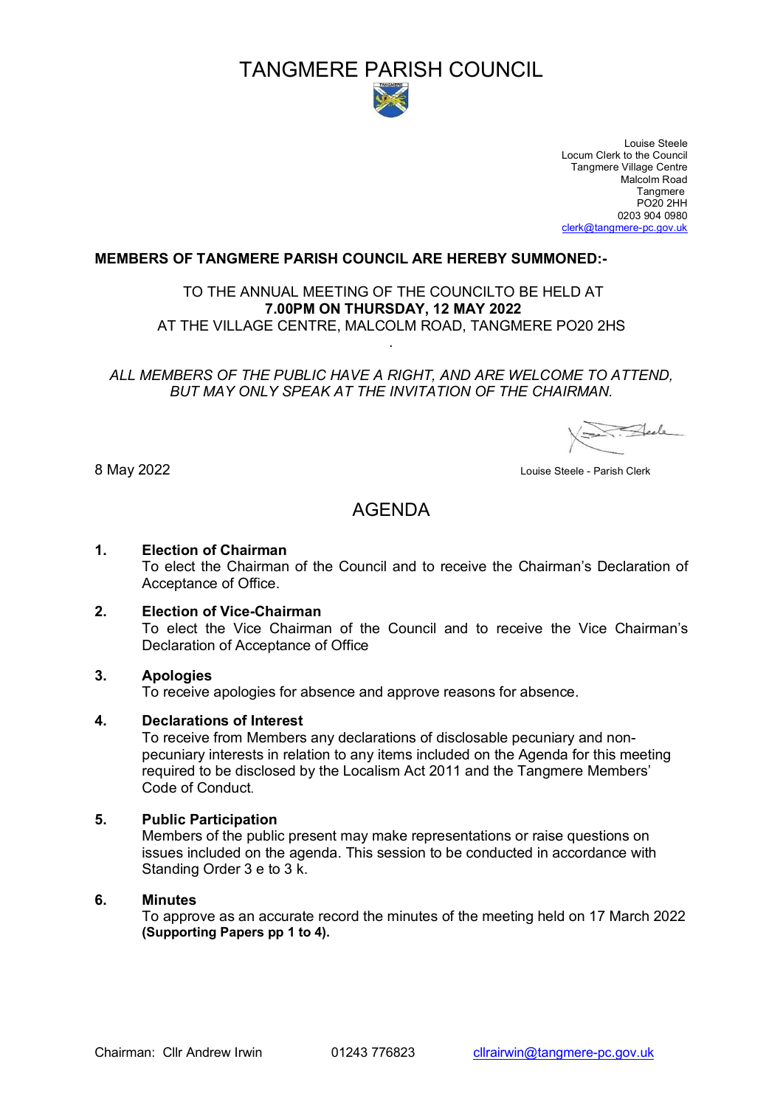# TANGMERE PARISH COUNCIL



 Louise Steele Locum Clerk to the Council Tangmere Village Centre Malcolm Road<br>Tangmere tang menunjuk penunjuk penunjuk penunjuk penunjuk penunjuk penunjuk penunjuk pengembang ke penunjuk penunjuk p PO20 2HH 0203 904 0980 [clerk@tangmere-pc.gov.uk](mailto:clerk@tangmere-pc.gov.uk)

#### **MEMBERS OF TANGMERE PARISH COUNCIL ARE HEREBY SUMMONED:-**

TO THE ANNUAL MEETING OF THE COUNCILTO BE HELD AT **7.00PM ON THURSDAY, 12 MAY 2022** AT THE VILLAGE CENTRE, MALCOLM ROAD, TANGMERE PO20 2HS

*ALL MEMBERS OF THE PUBLIC HAVE A RIGHT, AND ARE WELCOME TO ATTEND, BUT MAY ONLY SPEAK AT THE INVITATION OF THE CHAIRMAN.*

.

Steele

8 May 2022 Louise Steele - Parish Clerk

## AGENDA

## **1. Election of Chairman**

To elect the Chairman of the Council and to receive the Chairman's Declaration of Acceptance of Office.

## **2. Election of Vice-Chairman**

To elect the Vice Chairman of the Council and to receive the Vice Chairman's Declaration of Acceptance of Office

#### **3. Apologies**

To receive apologies for absence and approve reasons for absence.

#### **4. Declarations of Interest**

To receive from Members any declarations of disclosable pecuniary and nonpecuniary interests in relation to any items included on the Agenda for this meeting required to be disclosed by the Localism Act 2011 and the Tangmere Members' Code of Conduct.

#### **5. Public Participation**

Members of the public present may make representations or raise questions on issues included on the agenda. This session to be conducted in accordance with Standing Order 3 e to 3 k.

## **6. Minutes**

To approve as an accurate record the minutes of the meeting held on 17 March 2022 **(Supporting Papers pp 1 to 4).**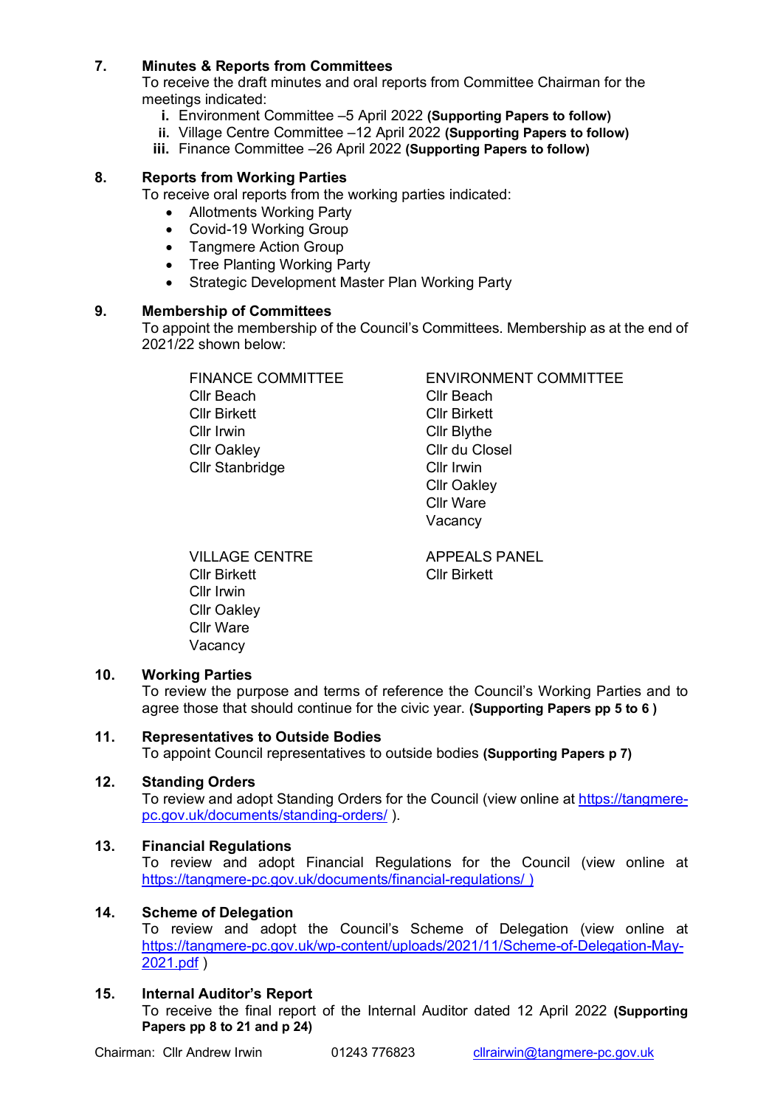## **7. Minutes & Reports from Committees**

To receive the draft minutes and oral reports from Committee Chairman for the meetings indicated:

- **i.** Environment Committee –5 April 2022 **(Supporting Papers to follow)**
- **ii.** Village Centre Committee –12 April 2022 **(Supporting Papers to follow)**
- **iii.** Finance Committee –26 April 2022 **(Supporting Papers to follow)**

## **8. Reports from Working Parties**

To receive oral reports from the working parties indicated:

- Allotments Working Party
- Covid-19 Working Group
- Tangmere Action Group
- Tree Planting Working Party
- Strategic Development Master Plan Working Party

#### **9. Membership of Committees**

To appoint the membership of the Council's Committees. Membership as at the end of 2021/22 shown below:

Cllr Beach Cllr Beach Cllr Birkett Cllr Birkett Cllr Irwin Cllr Blythe Cllr Oakley Cllr du Closel Cllr Stanbridge Cllr Irwin

FINANCE COMMITTEE ENVIRONMENT COMMITTEE Cllr Oakley Cllr Ware Vacancy

VILLAGE CENTRE APPEALS PANEL Cllr Birkett Cllr Birkett Cllr Irwin Cllr Oakley Cllr Ware Vacancy

#### **10. Working Parties**

To review the purpose and terms of reference the Council's Working Parties and to agree those that should continue for the civic year. **(Supporting Papers pp 5 to 6 )**

#### **11. Representatives to Outside Bodies**

To appoint Council representatives to outside bodies **(Supporting Papers p 7)**

#### **12. Standing Orders**

To review and adopt Standing Orders for the Council (view online at [https://tangmere](https://tangmere-pc.gov.uk/documents/standing-orders/)[pc.gov.uk/documents/standing-orders/](https://tangmere-pc.gov.uk/documents/standing-orders/) ).

#### **13. Financial Regulations**

To review and adopt Financial Regulations for the Council (view online at <https://tangmere-pc.gov.uk/documents/financial-regulations/>)

#### **14. Scheme of Delegation**

To review and adopt the Council's Scheme of Delegation (view online at [https://tangmere-pc.gov.uk/wp-content/uploads/2021/11/Scheme-of-Delegation-May-](https://tangmere-pc.gov.uk/wp-content/uploads/2021/11/Scheme-of-Delegation-May-2021.pdf)[2021.pdf](https://tangmere-pc.gov.uk/wp-content/uploads/2021/11/Scheme-of-Delegation-May-2021.pdf) )

## **15. Internal Auditor's Report**

To receive the final report of the Internal Auditor dated 12 April 2022 **(Supporting Papers pp 8 to 21 and p 24)**